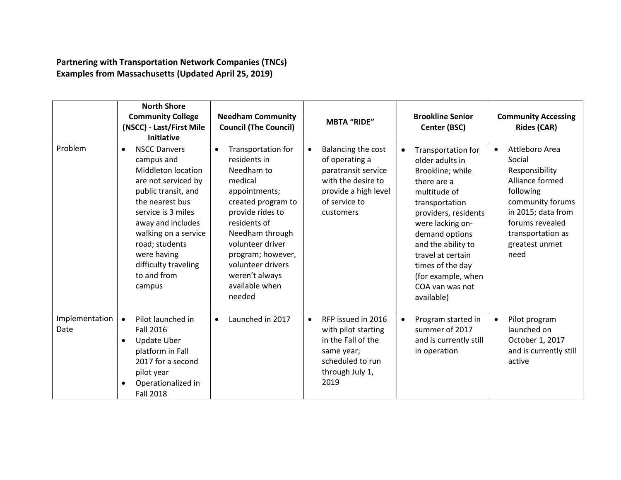**Partnering with Transportation Network Companies (TNCs) Examples from Massachusetts (Updated April 25, 2019)** 

|                        | <b>North Shore</b><br><b>Community College</b><br>(NSCC) - Last/First Mile<br><b>Initiative</b>                                                                                                                                                                                            | <b>Needham Community</b><br><b>Council (The Council)</b>                                                                                                                                                                                                                           | <b>MBTA "RIDE"</b>                                                                                                                                   | <b>Brookline Senior</b><br>Center (BSC)                                                                                                                                                                                                                                                                     | <b>Community Accessing</b><br><b>Rides (CAR)</b>                                                                                                                                                    |
|------------------------|--------------------------------------------------------------------------------------------------------------------------------------------------------------------------------------------------------------------------------------------------------------------------------------------|------------------------------------------------------------------------------------------------------------------------------------------------------------------------------------------------------------------------------------------------------------------------------------|------------------------------------------------------------------------------------------------------------------------------------------------------|-------------------------------------------------------------------------------------------------------------------------------------------------------------------------------------------------------------------------------------------------------------------------------------------------------------|-----------------------------------------------------------------------------------------------------------------------------------------------------------------------------------------------------|
| Problem                | <b>NSCC Danvers</b><br>$\bullet$<br>campus and<br>Middleton location<br>are not serviced by<br>public transit, and<br>the nearest bus<br>service is 3 miles<br>away and includes<br>walking on a service<br>road; students<br>were having<br>difficulty traveling<br>to and from<br>campus | Transportation for<br>$\bullet$<br>residents in<br>Needham to<br>medical<br>appointments;<br>created program to<br>provide rides to<br>residents of<br>Needham through<br>volunteer driver<br>program; however,<br>volunteer drivers<br>weren't always<br>available when<br>needed | Balancing the cost<br>$\bullet$<br>of operating a<br>paratransit service<br>with the desire to<br>provide a high level<br>of service to<br>customers | Transportation for<br>$\bullet$<br>older adults in<br>Brookline; while<br>there are a<br>multitude of<br>transportation<br>providers, residents<br>were lacking on-<br>demand options<br>and the ability to<br>travel at certain<br>times of the day<br>(for example, when<br>COA van was not<br>available) | Attleboro Area<br>$\bullet$<br>Social<br>Responsibility<br>Alliance formed<br>following<br>community forums<br>in 2015; data from<br>forums revealed<br>transportation as<br>greatest unmet<br>need |
| Implementation<br>Date | Pilot launched in<br>$\bullet$<br><b>Fall 2016</b><br><b>Update Uber</b><br>$\bullet$<br>platform in Fall<br>2017 for a second<br>pilot year<br>Operationalized in<br><b>Fall 2018</b>                                                                                                     | Launched in 2017<br>$\bullet$                                                                                                                                                                                                                                                      | RFP issued in 2016<br>$\bullet$<br>with pilot starting<br>in the Fall of the<br>same year;<br>scheduled to run<br>through July 1,<br>2019            | Program started in<br>$\bullet$<br>summer of 2017<br>and is currently still<br>in operation                                                                                                                                                                                                                 | Pilot program<br>$\bullet$<br>launched on<br>October 1, 2017<br>and is currently still<br>active                                                                                                    |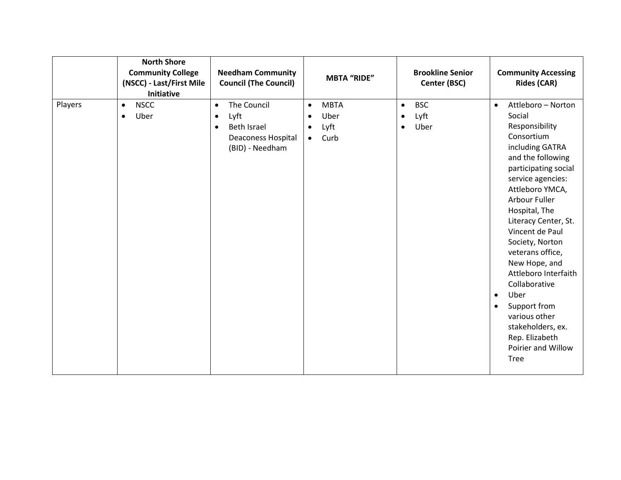|         | <b>North Shore</b><br><b>Community College</b><br>(NSCC) - Last/First Mile<br>Initiative | <b>Needham Community</b><br><b>Council (The Council)</b>                                                                         | <b>MBTA "RIDE"</b>                                                                      | <b>Brookline Senior</b><br>Center (BSC)                           | <b>Community Accessing</b><br><b>Rides (CAR)</b>                                                                                                                                                                                                                                                                                                                                                                                                                                                               |
|---------|------------------------------------------------------------------------------------------|----------------------------------------------------------------------------------------------------------------------------------|-----------------------------------------------------------------------------------------|-------------------------------------------------------------------|----------------------------------------------------------------------------------------------------------------------------------------------------------------------------------------------------------------------------------------------------------------------------------------------------------------------------------------------------------------------------------------------------------------------------------------------------------------------------------------------------------------|
| Players | <b>NSCC</b><br>$\bullet$<br>Uber<br>$\bullet$                                            | The Council<br>$\bullet$<br>Lyft<br>$\bullet$<br><b>Beth Israel</b><br>$\bullet$<br><b>Deaconess Hospital</b><br>(BID) - Needham | <b>MBTA</b><br>$\bullet$<br>Uber<br>$\bullet$<br>Lyft<br>$\bullet$<br>Curb<br>$\bullet$ | <b>BSC</b><br>$\bullet$<br>Lyft<br>$\bullet$<br>Uber<br>$\bullet$ | Attleboro - Norton<br>$\bullet$<br>Social<br>Responsibility<br>Consortium<br>including GATRA<br>and the following<br>participating social<br>service agencies:<br>Attleboro YMCA,<br>Arbour Fuller<br>Hospital, The<br>Literacy Center, St.<br>Vincent de Paul<br>Society, Norton<br>veterans office,<br>New Hope, and<br>Attleboro Interfaith<br>Collaborative<br>Uber<br>$\bullet$<br>Support from<br>$\bullet$<br>various other<br>stakeholders, ex.<br>Rep. Elizabeth<br>Poirier and Willow<br><b>Tree</b> |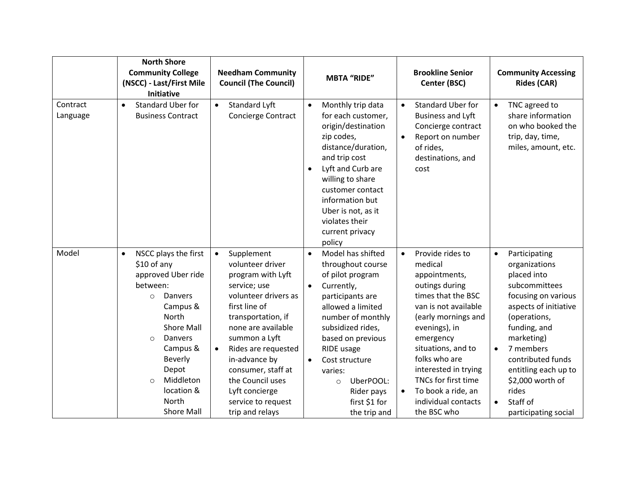|                      | <b>North Shore</b><br><b>Community College</b><br>(NSCC) - Last/First Mile                                                                                                                                                                                                          | <b>Needham Community</b><br><b>Council (The Council)</b>                                                                                                                                                                                                                                                                                         | <b>MBTA "RIDE"</b>                                                                                                                                                                                                                                                                                                                        | <b>Brookline Senior</b><br>Center (BSC)                                                                                                                                                                                                                                                                                          | <b>Community Accessing</b><br><b>Rides (CAR)</b>                                                                                                                                                                                                                                                                               |
|----------------------|-------------------------------------------------------------------------------------------------------------------------------------------------------------------------------------------------------------------------------------------------------------------------------------|--------------------------------------------------------------------------------------------------------------------------------------------------------------------------------------------------------------------------------------------------------------------------------------------------------------------------------------------------|-------------------------------------------------------------------------------------------------------------------------------------------------------------------------------------------------------------------------------------------------------------------------------------------------------------------------------------------|----------------------------------------------------------------------------------------------------------------------------------------------------------------------------------------------------------------------------------------------------------------------------------------------------------------------------------|--------------------------------------------------------------------------------------------------------------------------------------------------------------------------------------------------------------------------------------------------------------------------------------------------------------------------------|
|                      | Initiative                                                                                                                                                                                                                                                                          |                                                                                                                                                                                                                                                                                                                                                  |                                                                                                                                                                                                                                                                                                                                           |                                                                                                                                                                                                                                                                                                                                  |                                                                                                                                                                                                                                                                                                                                |
| Contract<br>Language | Standard Uber for<br>$\bullet$<br><b>Business Contract</b>                                                                                                                                                                                                                          | Standard Lyft<br>Concierge Contract                                                                                                                                                                                                                                                                                                              | Monthly trip data<br>$\bullet$<br>for each customer,<br>origin/destination<br>zip codes,<br>distance/duration,<br>and trip cost<br>Lyft and Curb are<br>$\bullet$<br>willing to share<br>customer contact<br>information but<br>Uber is not, as it<br>violates their<br>current privacy<br>policy                                         | <b>Standard Uber for</b><br>$\bullet$<br><b>Business and Lyft</b><br>Concierge contract<br>Report on number<br>of rides,<br>destinations, and<br>cost                                                                                                                                                                            | TNC agreed to<br>$\bullet$<br>share information<br>on who booked the<br>trip, day, time,<br>miles, amount, etc.                                                                                                                                                                                                                |
| Model                | NSCC plays the first<br>$\bullet$<br>\$10 of any<br>approved Uber ride<br>between:<br>Danvers<br>$\circ$<br>Campus &<br>North<br><b>Shore Mall</b><br>Danvers<br>$\circ$<br>Campus &<br><b>Beverly</b><br>Depot<br>Middleton<br>$\circ$<br>location &<br>North<br><b>Shore Mall</b> | Supplement<br>$\bullet$<br>volunteer driver<br>program with Lyft<br>service; use<br>volunteer drivers as<br>first line of<br>transportation, if<br>none are available<br>summon a Lyft<br>Rides are requested<br>$\bullet$<br>in-advance by<br>consumer, staff at<br>the Council uses<br>Lyft concierge<br>service to request<br>trip and relays | Model has shifted<br>$\bullet$<br>throughout course<br>of pilot program<br>Currently,<br>$\bullet$<br>participants are<br>allowed a limited<br>number of monthly<br>subsidized rides,<br>based on previous<br>RIDE usage<br>Cost structure<br>$\bullet$<br>varies:<br>UberPOOL:<br>$\circ$<br>Rider pays<br>first \$1 for<br>the trip and | Provide rides to<br>$\bullet$<br>medical<br>appointments,<br>outings during<br>times that the BSC<br>van is not available<br>(early mornings and<br>evenings), in<br>emergency<br>situations, and to<br>folks who are<br>interested in trying<br>TNCs for first time<br>To book a ride, an<br>individual contacts<br>the BSC who | Participating<br>$\bullet$<br>organizations<br>placed into<br>subcommittees<br>focusing on various<br>aspects of initiative<br>(operations,<br>funding, and<br>marketing)<br>7 members<br>$\bullet$<br>contributed funds<br>entitling each up to<br>\$2,000 worth of<br>rides<br>Staff of<br>$\bullet$<br>participating social |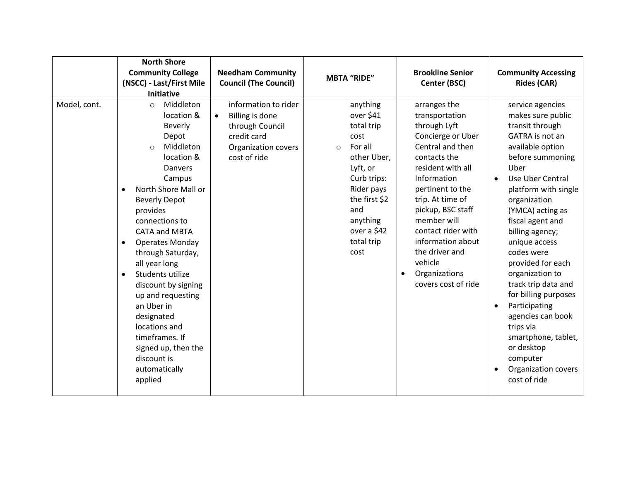|              | <b>North Shore</b><br><b>Community College</b><br>(NSCC) - Last/First Mile<br><b>Initiative</b>                                                                                                                                                                                                                                                                                                                                                                                                                                | <b>Needham Community</b><br><b>Council (The Council)</b>                                                                                    | <b>MBTA "RIDE"</b>                                                                                                                                                                                 | <b>Brookline Senior</b><br>Center (BSC)                                                                                                                                                                                                                                                                                                      | <b>Community Accessing</b><br><b>Rides (CAR)</b>                                                                                                                                                                                                                                                                                                                                                                                                                                                                                                           |
|--------------|--------------------------------------------------------------------------------------------------------------------------------------------------------------------------------------------------------------------------------------------------------------------------------------------------------------------------------------------------------------------------------------------------------------------------------------------------------------------------------------------------------------------------------|---------------------------------------------------------------------------------------------------------------------------------------------|----------------------------------------------------------------------------------------------------------------------------------------------------------------------------------------------------|----------------------------------------------------------------------------------------------------------------------------------------------------------------------------------------------------------------------------------------------------------------------------------------------------------------------------------------------|------------------------------------------------------------------------------------------------------------------------------------------------------------------------------------------------------------------------------------------------------------------------------------------------------------------------------------------------------------------------------------------------------------------------------------------------------------------------------------------------------------------------------------------------------------|
| Model, cont. | Middleton<br>$\circ$<br>location &<br>Beverly<br>Depot<br>Middleton<br>$\circ$<br>location &<br>Danvers<br>Campus<br>North Shore Mall or<br>$\bullet$<br><b>Beverly Depot</b><br>provides<br>connections to<br><b>CATA and MBTA</b><br><b>Operates Monday</b><br>$\bullet$<br>through Saturday,<br>all year long<br>Students utilize<br>$\bullet$<br>discount by signing<br>up and requesting<br>an Uber in<br>designated<br>locations and<br>timeframes. If<br>signed up, then the<br>discount is<br>automatically<br>applied | information to rider<br><b>Billing is done</b><br>$\bullet$<br>through Council<br>credit card<br><b>Organization covers</b><br>cost of ride | anything<br>over \$41<br>total trip<br>cost<br>For all<br>$\circ$<br>other Uber,<br>Lyft, or<br>Curb trips:<br>Rider pays<br>the first \$2<br>and<br>anything<br>over a \$42<br>total trip<br>cost | arranges the<br>transportation<br>through Lyft<br>Concierge or Uber<br>Central and then<br>contacts the<br>resident with all<br>Information<br>pertinent to the<br>trip. At time of<br>pickup, BSC staff<br>member will<br>contact rider with<br>information about<br>the driver and<br>vehicle<br>Organizations<br>٠<br>covers cost of ride | service agencies<br>makes sure public<br>transit through<br>GATRA is not an<br>available option<br>before summoning<br>Uber<br>Use Uber Central<br>$\bullet$<br>platform with single<br>organization<br>(YMCA) acting as<br>fiscal agent and<br>billing agency;<br>unique access<br>codes were<br>provided for each<br>organization to<br>track trip data and<br>for billing purposes<br>Participating<br>$\bullet$<br>agencies can book<br>trips via<br>smartphone, tablet,<br>or desktop<br>computer<br>Organization covers<br>$\bullet$<br>cost of ride |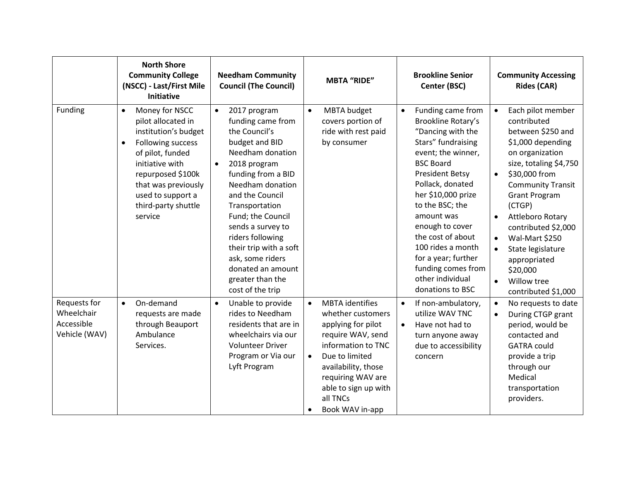|                                                           | <b>North Shore</b><br><b>Community College</b><br>(NSCC) - Last/First Mile<br><b>Initiative</b>                                                                                                                                                       | <b>Needham Community</b><br><b>Council (The Council)</b>                                                                                                                                                                                                                                                                                                                      | <b>MBTA "RIDE"</b>                                                                                                                                                                                                                                          | <b>Brookline Senior</b><br>Center (BSC)                                                                                                                                                                                                                                                                                                                                                          | <b>Community Accessing</b><br><b>Rides (CAR)</b>                                                                                                                                                                                                                                                                                                                                                                                         |
|-----------------------------------------------------------|-------------------------------------------------------------------------------------------------------------------------------------------------------------------------------------------------------------------------------------------------------|-------------------------------------------------------------------------------------------------------------------------------------------------------------------------------------------------------------------------------------------------------------------------------------------------------------------------------------------------------------------------------|-------------------------------------------------------------------------------------------------------------------------------------------------------------------------------------------------------------------------------------------------------------|--------------------------------------------------------------------------------------------------------------------------------------------------------------------------------------------------------------------------------------------------------------------------------------------------------------------------------------------------------------------------------------------------|------------------------------------------------------------------------------------------------------------------------------------------------------------------------------------------------------------------------------------------------------------------------------------------------------------------------------------------------------------------------------------------------------------------------------------------|
| Funding                                                   | Money for NSCC<br>$\bullet$<br>pilot allocated in<br>institution's budget<br>Following success<br>$\bullet$<br>of pilot, funded<br>initiative with<br>repurposed \$100k<br>that was previously<br>used to support a<br>third-party shuttle<br>service | 2017 program<br>$\bullet$<br>funding came from<br>the Council's<br>budget and BID<br>Needham donation<br>2018 program<br>funding from a BID<br>Needham donation<br>and the Council<br>Transportation<br>Fund; the Council<br>sends a survey to<br>riders following<br>their trip with a soft<br>ask, some riders<br>donated an amount<br>greater than the<br>cost of the trip | MBTA budget<br>$\bullet$<br>covers portion of<br>ride with rest paid<br>by consumer                                                                                                                                                                         | Funding came from<br>$\bullet$<br>Brookline Rotary's<br>"Dancing with the<br>Stars" fundraising<br>event; the winner,<br><b>BSC Board</b><br><b>President Betsy</b><br>Pollack, donated<br>her \$10,000 prize<br>to the BSC; the<br>amount was<br>enough to cover<br>the cost of about<br>100 rides a month<br>for a year; further<br>funding comes from<br>other individual<br>donations to BSC | Each pilot member<br>$\bullet$<br>contributed<br>between \$250 and<br>\$1,000 depending<br>on organization<br>size, totaling \$4,750<br>\$30,000 from<br>$\bullet$<br><b>Community Transit</b><br><b>Grant Program</b><br>(CTGP)<br>Attleboro Rotary<br>$\bullet$<br>contributed \$2,000<br>Wal-Mart \$250<br>$\bullet$<br>State legislature<br>$\bullet$<br>appropriated<br>\$20,000<br>Willow tree<br>$\bullet$<br>contributed \$1,000 |
| Requests for<br>Wheelchair<br>Accessible<br>Vehicle (WAV) | On-demand<br>$\bullet$<br>requests are made<br>through Beauport<br>Ambulance<br>Services.                                                                                                                                                             | Unable to provide<br>$\bullet$<br>rides to Needham<br>residents that are in<br>wheelchairs via our<br><b>Volunteer Driver</b><br>Program or Via our<br>Lyft Program                                                                                                                                                                                                           | <b>MBTA</b> identifies<br>$\bullet$<br>whether customers<br>applying for pilot<br>require WAV, send<br>information to TNC<br>Due to limited<br>$\bullet$<br>availability, those<br>requiring WAV are<br>able to sign up with<br>all TNCs<br>Book WAV in-app | If non-ambulatory,<br>$\bullet$<br>utilize WAV TNC<br>Have not had to<br>$\bullet$<br>turn anyone away<br>due to accessibility<br>concern                                                                                                                                                                                                                                                        | No requests to date<br>$\bullet$<br>During CTGP grant<br>$\bullet$<br>period, would be<br>contacted and<br><b>GATRA could</b><br>provide a trip<br>through our<br>Medical<br>transportation<br>providers.                                                                                                                                                                                                                                |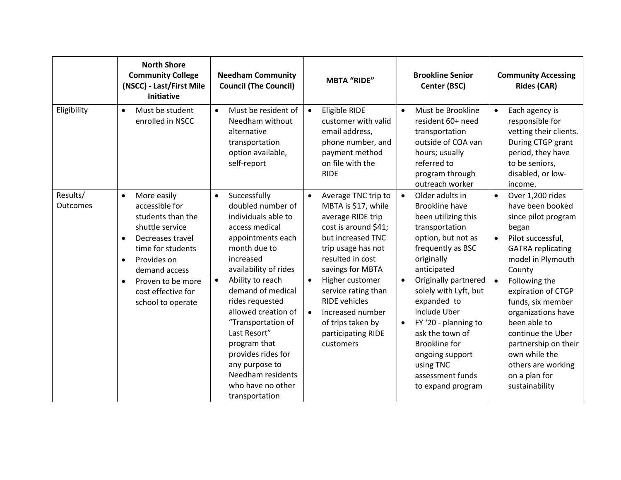|                             | <b>North Shore</b><br><b>Community College</b><br>(NSCC) - Last/First Mile<br>Initiative                                                                                                                                                                           | <b>Needham Community</b><br><b>Council (The Council)</b>                                                                                                                                                                                                                                                                                                                                                                     | <b>MBTA "RIDE"</b>                                                                                                                                                                                                                                                                                                                                              | <b>Brookline Senior</b><br>Center (BSC)                                                                                                                                                                                                                                                                                                                                                                         | <b>Community Accessing</b><br><b>Rides (CAR)</b>                                                                                                                                                                                                                                                                                                                                                                     |
|-----------------------------|--------------------------------------------------------------------------------------------------------------------------------------------------------------------------------------------------------------------------------------------------------------------|------------------------------------------------------------------------------------------------------------------------------------------------------------------------------------------------------------------------------------------------------------------------------------------------------------------------------------------------------------------------------------------------------------------------------|-----------------------------------------------------------------------------------------------------------------------------------------------------------------------------------------------------------------------------------------------------------------------------------------------------------------------------------------------------------------|-----------------------------------------------------------------------------------------------------------------------------------------------------------------------------------------------------------------------------------------------------------------------------------------------------------------------------------------------------------------------------------------------------------------|----------------------------------------------------------------------------------------------------------------------------------------------------------------------------------------------------------------------------------------------------------------------------------------------------------------------------------------------------------------------------------------------------------------------|
| Eligibility                 | Must be student<br>$\bullet$<br>enrolled in NSCC                                                                                                                                                                                                                   | Must be resident of<br>$\bullet$<br>Needham without<br>alternative<br>transportation<br>option available,<br>self-report                                                                                                                                                                                                                                                                                                     | <b>Eligible RIDE</b><br>$\bullet$<br>customer with valid<br>email address,<br>phone number, and<br>payment method<br>on file with the<br><b>RIDE</b>                                                                                                                                                                                                            | Must be Brookline<br>$\bullet$<br>resident 60+ need<br>transportation<br>outside of COA van<br>hours; usually<br>referred to<br>program through<br>outreach worker                                                                                                                                                                                                                                              | Each agency is<br>$\bullet$<br>responsible for<br>vetting their clients.<br>During CTGP grant<br>period, they have<br>to be seniors,<br>disabled, or low-<br>income.                                                                                                                                                                                                                                                 |
| Results/<br><b>Outcomes</b> | More easily<br>$\bullet$<br>accessible for<br>students than the<br>shuttle service<br>Decreases travel<br>$\bullet$<br>time for students<br>Provides on<br>$\bullet$<br>demand access<br>Proven to be more<br>$\bullet$<br>cost effective for<br>school to operate | Successfully<br>$\bullet$<br>doubled number of<br>individuals able to<br>access medical<br>appointments each<br>month due to<br>increased<br>availability of rides<br>Ability to reach<br>$\bullet$<br>demand of medical<br>rides requested<br>allowed creation of<br>"Transportation of<br>Last Resort"<br>program that<br>provides rides for<br>any purpose to<br>Needham residents<br>who have no other<br>transportation | Average TNC trip to<br>$\bullet$<br>MBTA is \$17, while<br>average RIDE trip<br>cost is around \$41;<br>but increased TNC<br>trip usage has not<br>resulted in cost<br>savings for MBTA<br>Higher customer<br>$\bullet$<br>service rating than<br><b>RIDE</b> vehicles<br>Increased number<br>$\bullet$<br>of trips taken by<br>participating RIDE<br>customers | Older adults in<br>$\bullet$<br><b>Brookline have</b><br>been utilizing this<br>transportation<br>option, but not as<br>frequently as BSC<br>originally<br>anticipated<br>Originally partnered<br>$\bullet$<br>solely with Lyft, but<br>expanded to<br>include Uber<br>FY '20 - planning to<br>ask the town of<br><b>Brookline</b> for<br>ongoing support<br>using TNC<br>assessment funds<br>to expand program | Over 1,200 rides<br>$\bullet$<br>have been booked<br>since pilot program<br>began<br>Pilot successful,<br>$\bullet$<br><b>GATRA</b> replicating<br>model in Plymouth<br>County<br>Following the<br>$\bullet$<br>expiration of CTGP<br>funds, six member<br>organizations have<br>been able to<br>continue the Uber<br>partnership on their<br>own while the<br>others are working<br>on a plan for<br>sustainability |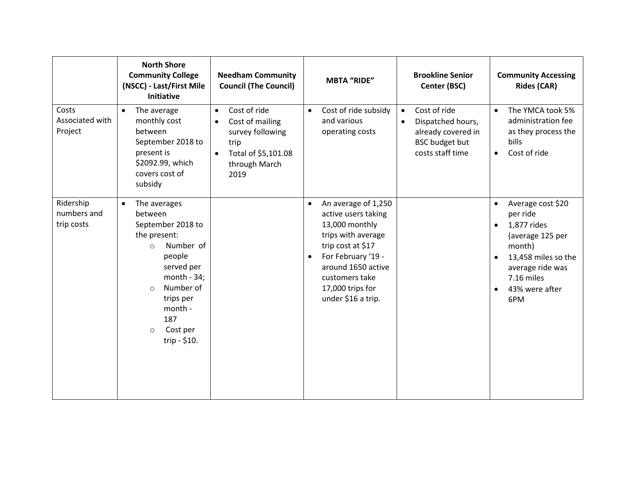|                                        | <b>North Shore</b><br><b>Community College</b><br>(NSCC) - Last/First Mile<br>Initiative                                                                                                                                                | <b>Needham Community</b><br><b>Council (The Council)</b>                                                                                           | <b>MBTA "RIDE"</b>                                                                                                                                                                                                                        | <b>Brookline Senior</b><br>Center (BSC)                                                                                        | <b>Community Accessing</b><br><b>Rides (CAR)</b>                                                                                                                                                                 |
|----------------------------------------|-----------------------------------------------------------------------------------------------------------------------------------------------------------------------------------------------------------------------------------------|----------------------------------------------------------------------------------------------------------------------------------------------------|-------------------------------------------------------------------------------------------------------------------------------------------------------------------------------------------------------------------------------------------|--------------------------------------------------------------------------------------------------------------------------------|------------------------------------------------------------------------------------------------------------------------------------------------------------------------------------------------------------------|
| Costs<br>Associated with<br>Project    | $\bullet$<br>The average<br>monthly cost<br>between<br>September 2018 to<br>present is<br>\$2092.99, which<br>covers cost of<br>subsidy                                                                                                 | Cost of ride<br>$\bullet$<br>Cost of mailing<br>$\bullet$<br>survey following<br>trip<br>Total of \$5,101.08<br>$\bullet$<br>through March<br>2019 | Cost of ride subsidy<br>$\bullet$<br>and various<br>operating costs                                                                                                                                                                       | Cost of ride<br>$\bullet$<br>Dispatched hours,<br>$\bullet$<br>already covered in<br><b>BSC</b> budget but<br>costs staff time | The YMCA took 5%<br>$\bullet$<br>administration fee<br>as they process the<br>bills<br>Cost of ride<br>$\bullet$                                                                                                 |
| Ridership<br>numbers and<br>trip costs | The averages<br>$\bullet$<br>between<br>September 2018 to<br>the present:<br>Number of<br>$\circ$<br>people<br>served per<br>month $-34;$<br>Number of<br>$\circ$<br>trips per<br>month -<br>187<br>Cost per<br>$\circ$<br>trip - \$10. |                                                                                                                                                    | An average of 1,250<br>$\bullet$<br>active users taking<br>13,000 monthly<br>trips with average<br>trip cost at \$17<br>For February '19 -<br>$\bullet$<br>around 1650 active<br>customers take<br>17,000 trips for<br>under \$16 a trip. |                                                                                                                                | Average cost \$20<br>$\bullet$<br>per ride<br>1,877 rides<br>$\bullet$<br>(average 125 per<br>month)<br>13,458 miles so the<br>$\bullet$<br>average ride was<br>7.16 miles<br>43% were after<br>$\bullet$<br>6PM |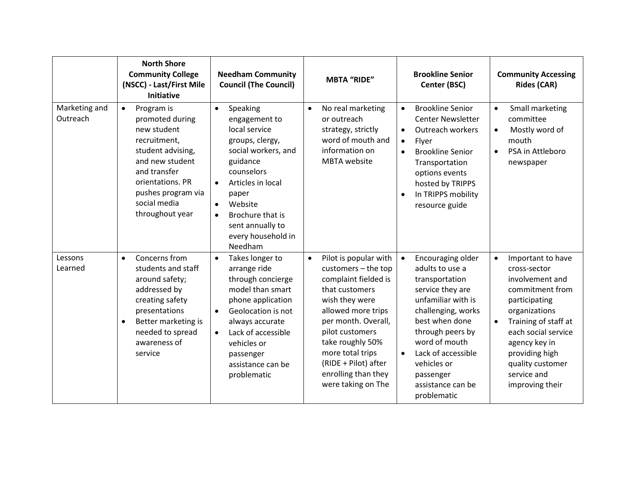|                           | <b>North Shore</b><br><b>Community College</b><br>(NSCC) - Last/First Mile<br><b>Initiative</b>                                                                                                                | <b>Needham Community</b><br><b>Council (The Council)</b>                                                                                                                                                                                                                             | <b>MBTA "RIDE"</b>                                                                                                                                                                                                                                                                                 | <b>Brookline Senior</b><br>Center (BSC)                                                                                                                                                                                                                                                       | <b>Community Accessing</b><br><b>Rides (CAR)</b>                                                                                                                                                                                                                            |
|---------------------------|----------------------------------------------------------------------------------------------------------------------------------------------------------------------------------------------------------------|--------------------------------------------------------------------------------------------------------------------------------------------------------------------------------------------------------------------------------------------------------------------------------------|----------------------------------------------------------------------------------------------------------------------------------------------------------------------------------------------------------------------------------------------------------------------------------------------------|-----------------------------------------------------------------------------------------------------------------------------------------------------------------------------------------------------------------------------------------------------------------------------------------------|-----------------------------------------------------------------------------------------------------------------------------------------------------------------------------------------------------------------------------------------------------------------------------|
| Marketing and<br>Outreach | $\bullet$<br>Program is<br>promoted during<br>new student<br>recruitment,<br>student advising,<br>and new student<br>and transfer<br>orientations. PR<br>pushes program via<br>social media<br>throughout year | Speaking<br>$\bullet$<br>engagement to<br>local service<br>groups, clergy,<br>social workers, and<br>guidance<br>counselors<br>Articles in local<br>$\bullet$<br>paper<br>Website<br>$\bullet$<br>Brochure that is<br>$\bullet$<br>sent annually to<br>every household in<br>Needham | No real marketing<br>$\bullet$<br>or outreach<br>strategy, strictly<br>word of mouth and<br>information on<br><b>MBTA</b> website                                                                                                                                                                  | <b>Brookline Senior</b><br>$\bullet$<br><b>Center Newsletter</b><br>Outreach workers<br>Flyer<br>$\bullet$<br><b>Brookline Senior</b><br>$\bullet$<br>Transportation<br>options events<br>hosted by TRIPPS<br>In TRIPPS mobility<br>$\bullet$<br>resource guide                               | Small marketing<br>$\bullet$<br>committee<br>Mostly word of<br>$\bullet$<br>mouth<br>PSA in Attleboro<br>$\bullet$<br>newspaper                                                                                                                                             |
| Lessons<br>Learned        | Concerns from<br>$\bullet$<br>students and staff<br>around safety;<br>addressed by<br>creating safety<br>presentations<br>Better marketing is<br>$\bullet$<br>needed to spread<br>awareness of<br>service      | Takes longer to<br>$\bullet$<br>arrange ride<br>through concierge<br>model than smart<br>phone application<br>Geolocation is not<br>$\bullet$<br>always accurate<br>Lack of accessible<br>$\bullet$<br>vehicles or<br>passenger<br>assistance can be<br>problematic                  | Pilot is popular with<br>$\bullet$<br>customers - the top<br>complaint fielded is<br>that customers<br>wish they were<br>allowed more trips<br>per month. Overall,<br>pilot customers<br>take roughly 50%<br>more total trips<br>(RIDE + Pilot) after<br>enrolling than they<br>were taking on The | Encouraging older<br>$\bullet$<br>adults to use a<br>transportation<br>service they are<br>unfamiliar with is<br>challenging, works<br>best when done<br>through peers by<br>word of mouth<br>Lack of accessible<br>$\bullet$<br>vehicles or<br>passenger<br>assistance can be<br>problematic | Important to have<br>$\bullet$<br>cross-sector<br>involvement and<br>commitment from<br>participating<br>organizations<br>Training of staff at<br>$\bullet$<br>each social service<br>agency key in<br>providing high<br>quality customer<br>service and<br>improving their |